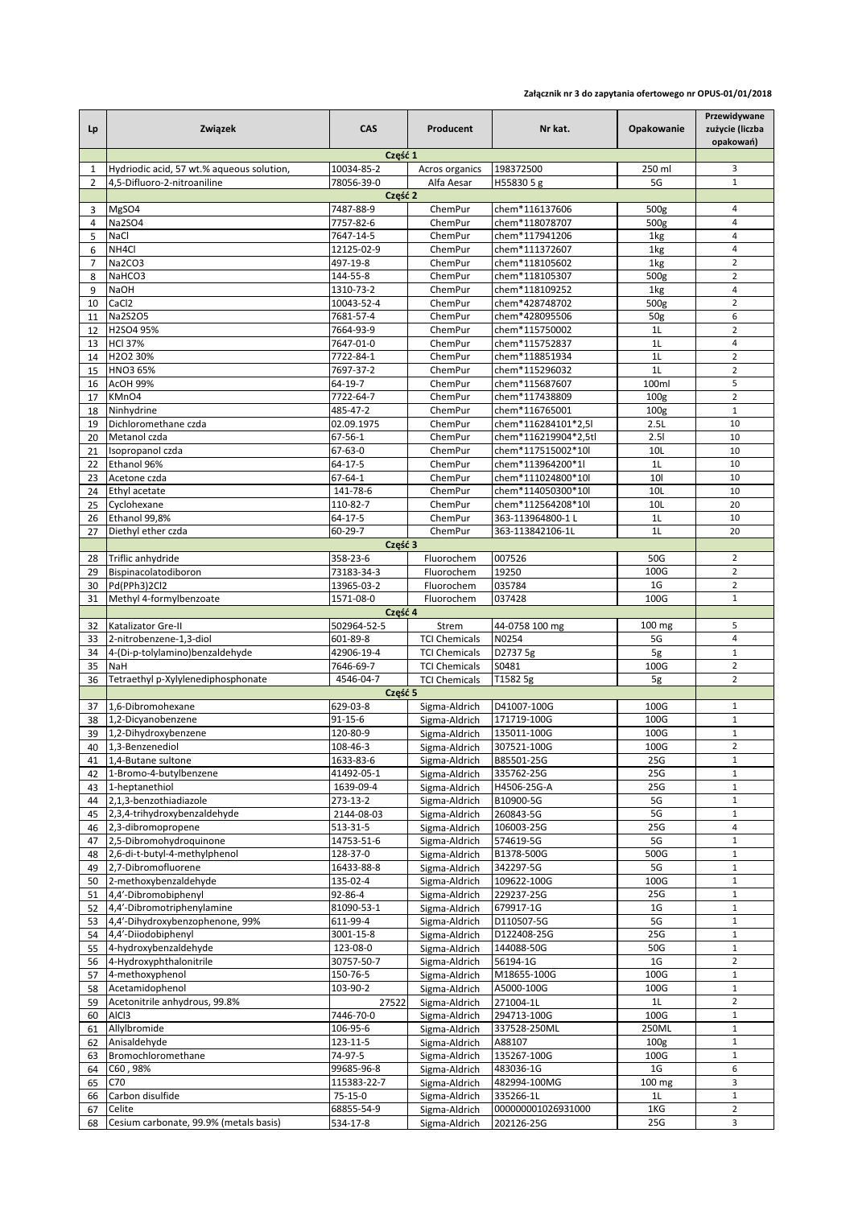## **Załącznik nr 3 do zapytania ofertowego nr OPUS-01/01/2018**

| Lp             | Związek                                           | <b>CAS</b>              | Producent                                    | Nr kat.                          | Opakowanie                           | Przewidywane<br>zużycie (liczba<br>opakowań) |  |  |
|----------------|---------------------------------------------------|-------------------------|----------------------------------------------|----------------------------------|--------------------------------------|----------------------------------------------|--|--|
|                | Część 1                                           |                         |                                              |                                  |                                      |                                              |  |  |
| 1              | Hydriodic acid, 57 wt.% aqueous solution,         | 10034-85-2              | Acros organics                               | 198372500                        | 250 ml                               | 3                                            |  |  |
| $\overline{2}$ | 4.5-Difluoro-2-nitroaniline                       | 78056-39-0<br>Część 2   | Alfa Aesar                                   | H55830 5 g                       | 5G                                   | $\mathbf 1$                                  |  |  |
| 3              | MgSO4                                             | 7487-88-9               | ChemPur                                      | chem*116137606                   | 500g                                 | 4                                            |  |  |
| 4              | <b>Na2SO4</b>                                     | 7757-82-6               | ChemPur                                      | chem*118078707                   | 500g                                 | $\overline{4}$                               |  |  |
| 5              | NaCl                                              | 7647-14-5               | ChemPur                                      | chem*117941206                   | 1kg                                  | $\overline{4}$                               |  |  |
| 6              | NH4Cl                                             | 12125-02-9              | ChemPur                                      | chem*111372607                   | 1kg                                  | $\overline{4}$                               |  |  |
| $\overline{7}$ | Na2CO3                                            | 497-19-8                | ChemPur                                      | chem*118105602                   | 1kg                                  | $\overline{2}$                               |  |  |
| 8<br>9         | NaHCO3<br><b>NaOH</b>                             | 144-55-8<br>1310-73-2   | ChemPur<br>ChemPur                           | chem*118105307<br>chem*118109252 | 500g<br>1kg                          | $\overline{2}$<br>$\overline{4}$             |  |  |
| 10             | CaCl <sub>2</sub>                                 | 10043-52-4              | ChemPur                                      | chem*428748702                   | 500g                                 | $\overline{2}$                               |  |  |
| 11             | Na2S2O5                                           | 7681-57-4               | ChemPur                                      | chem*428095506                   | 50 <sub>g</sub>                      | 6                                            |  |  |
| 12             | H2SO4 95%                                         | 7664-93-9               | ChemPur                                      | chem*115750002                   | 1L                                   | $\overline{2}$                               |  |  |
| 13             | <b>HCI 37%</b>                                    | 7647-01-0               | ChemPur                                      | chem*115752837                   | 1L                                   | 4                                            |  |  |
| 14             | H2O2 30%                                          | 7722-84-1               | ChemPur                                      | chem*118851934                   | 1L                                   | $\overline{2}$                               |  |  |
| 15             | HNO3 65%                                          | 7697-37-2               | ChemPur                                      | chem*115296032                   | 1 <sub>L</sub>                       | $\overline{2}$                               |  |  |
| 16             | AcOH 99%                                          | 64-19-7                 | ChemPur                                      | chem*115687607                   | 100ml                                | 5                                            |  |  |
| 17<br>18       | KMnO4<br>Ninhydrine                               | 7722-64-7<br>485-47-2   | ChemPur<br>ChemPur                           | chem*117438809<br>chem*116765001 | 100 <sub>g</sub><br>100 <sub>g</sub> | $\overline{2}$<br>$\mathbf 1$                |  |  |
| 19             | Dichloromethane czda                              | 02.09.1975              | ChemPur                                      | chem*116284101*2,5l              | 2.5L                                 | 10                                           |  |  |
| 20             | Metanol czda                                      | 67-56-1                 | ChemPur                                      | chem*116219904*2,5tl             | 2.51                                 | 10                                           |  |  |
| 21             | Isopropanol czda                                  | 67-63-0                 | ChemPur                                      | chem*117515002*10l               | 10L                                  | 10                                           |  |  |
| 22             | Ethanol 96%                                       | 64-17-5                 | ChemPur                                      | chem*113964200*1l                | 1L                                   | 10                                           |  |  |
| 23             | Acetone czda                                      | 67-64-1                 | ChemPur                                      | chem*111024800*10l               | 10                                   | 10                                           |  |  |
| 24             | Ethyl acetate                                     | 141-78-6                | ChemPur                                      | chem*114050300*10l               | 10L                                  | 10                                           |  |  |
| 25             | Cyclohexane                                       | 110-82-7                | ChemPur                                      | chem*112564208*10l               | 10L                                  | 20                                           |  |  |
| 26             | Ethanol 99,8%                                     | 64-17-5<br>60-29-7      | ChemPur<br>ChemPur                           | 363-113964800-1 L                | 1L<br>1L                             | 10<br>20                                     |  |  |
| 27             | Diethyl ether czda                                | Część 3                 |                                              | 363-113842106-1L                 |                                      |                                              |  |  |
| 28             | Triflic anhydride                                 | 358-23-6                | Fluorochem                                   | 007526                           | 50G                                  | $\overline{2}$                               |  |  |
| 29             | Bispinacolatodiboron                              | 73183-34-3              | Fluorochem                                   | 19250                            | 100G                                 | $\overline{2}$                               |  |  |
| 30             | Pd(PPh3)2Cl2                                      | 13965-03-2              | Fluorochem                                   | 035784                           | 1 <sub>G</sub>                       | $\overline{2}$                               |  |  |
| 31             | Methyl 4-formylbenzoate                           | 1571-08-0               | Fluorochem                                   | 037428                           | 100G                                 | $\mathbf 1$                                  |  |  |
|                |                                                   | Część 4                 |                                              |                                  |                                      |                                              |  |  |
| 32             | Katalizator Gre-II                                | 502964-52-5             | Strem                                        | 44-0758 100 mg                   | $100 \text{ mg}$                     | 5                                            |  |  |
| 33             | 2-nitrobenzene-1,3-diol                           | 601-89-8                | <b>TCI Chemicals</b>                         | N0254                            | 5G                                   | $\overline{4}$<br>$\mathbf 1$                |  |  |
| 34<br>35       | 4-(Di-p-tolylamino)benzaldehyde<br>NaH            | 42906-19-4<br>7646-69-7 | <b>TCI Chemicals</b><br><b>TCI Chemicals</b> | D2737 5g<br>S0481                | 5g<br>100G                           | $\overline{2}$                               |  |  |
| 36             | Tetraethyl p-Xylylenediphosphonate                | 4546-04-7               | <b>TCI Chemicals</b>                         | T1582 5g                         | 5g                                   | $\overline{2}$                               |  |  |
|                |                                                   | Część 5                 |                                              |                                  |                                      |                                              |  |  |
| 37             | 1,6-Dibromohexane                                 | 629-03-8                | Sigma-Aldrich                                | D41007-100G                      | 100G                                 | $\mathbf{1}$                                 |  |  |
| 38             | 1,2-Dicyanobenzene                                | $91 - 15 - 6$           | Sigma-Aldrich                                | 171719-100G                      | 100G                                 | $\mathbf 1$                                  |  |  |
| 39             | 1,2-Dihydroxybenzene                              | 120-80-9                | Sigma-Aldrich                                | 135011-100G                      | 100G                                 | $\mathbf 1$                                  |  |  |
|                | 40 1,3-Benzenediol                                | 108-46-3                | Sigma-Aldrich                                | 307521-100G                      | 100G                                 | $\overline{2}$                               |  |  |
| 41<br>42       | 1,4-Butane sultone<br>1-Bromo-4-butylbenzene      | 1633-83-6<br>41492-05-1 | Sigma-Aldrich<br>Sigma-Aldrich               | B85501-25G<br>335762-25G         | 25G<br>25G                           | $\mathbf 1$<br>$\mathbf 1$                   |  |  |
| 43             | 1-heptanethiol                                    | 1639-09-4               | Sigma-Aldrich                                | H4506-25G-A                      | 25G                                  | $\mathbf 1$                                  |  |  |
| 44             | 2,1,3-benzothiadiazole                            | 273-13-2                | Sigma-Aldrich                                | B10900-5G                        | 5G                                   | $1\,$                                        |  |  |
| 45             | 2,3,4-trihydroxybenzaldehyde                      | 2144-08-03              | Sigma-Aldrich                                | 260843-5G                        | 5G                                   | $\mathbf 1$                                  |  |  |
| 46             | 2,3-dibromopropene                                | 513-31-5                | Sigma-Aldrich                                | 106003-25G                       | 25G                                  | 4                                            |  |  |
| 47             | 2,5-Dibromohydroquinone                           | 14753-51-6              | Sigma-Aldrich                                | 574619-5G                        | 5G                                   | $\,1\,$                                      |  |  |
| 48             | 2,6-di-t-butyl-4-methylphenol                     | 128-37-0                | Sigma-Aldrich                                | B1378-500G                       | 500G                                 | $\mathbf{1}$                                 |  |  |
| 49             | 2,7-Dibromofluorene                               | 16433-88-8              | Sigma-Aldrich                                | 342297-5G                        | 5G                                   | $\mathbf 1$                                  |  |  |
| 50<br>51       | 2-methoxybenzaldehyde<br>4,4'-Dibromobiphenyl     | 135-02-4<br>92-86-4     | Sigma-Aldrich                                | 109622-100G<br>229237-25G        | 100G<br>25G                          | $\,1\,$<br>$\mathbf 1$                       |  |  |
| 52             | 4,4'-Dibromotriphenylamine                        | 81090-53-1              | Sigma-Aldrich<br>Sigma-Aldrich               | 679917-1G                        | 1G                                   | $\mathbf 1$                                  |  |  |
| 53             | 4,4'-Dihydroxybenzophenone, 99%                   | 611-99-4                | Sigma-Aldrich                                | D110507-5G                       | 5G                                   | $\mathbf 1$                                  |  |  |
| 54             | 4,4'-Diiodobiphenyl                               | 3001-15-8               | Sigma-Aldrich                                | D122408-25G                      | 25G                                  | $\,1\,$                                      |  |  |
| 55             | 4-hydroxybenzaldehyde                             | 123-08-0                | Sigma-Aldrich                                | 144088-50G                       | 50G                                  | $1\,$                                        |  |  |
| 56             | 4-Hydroxyphthalonitrile                           | 30757-50-7              | Sigma-Aldrich                                | 56194-1G                         | 1G                                   | $\overline{2}$                               |  |  |
| 57             | 4-methoxyphenol                                   | 150-76-5                | Sigma-Aldrich                                | M18655-100G                      | 100G                                 | $\,1\,$                                      |  |  |
| 58             | Acetamidophenol                                   | 103-90-2                | Sigma-Aldrich                                | A5000-100G                       | 100G                                 | $\mathbf 1$                                  |  |  |
| 59<br>60       | Acetonitrile anhydrous, 99.8%<br>AIC <sub>3</sub> | 27522<br>7446-70-0      | Sigma-Aldrich<br>Sigma-Aldrich               | 271004-1L<br>294713-100G         | 1L<br>100G                           | $\overline{2}$<br>$\mathbf 1$                |  |  |
| 61             | Allylbromide                                      | 106-95-6                | Sigma-Aldrich                                | 337528-250ML                     | 250ML                                | $\mathbf 1$                                  |  |  |
| 62             | Anisaldehyde                                      | 123-11-5                | Sigma-Aldrich                                | A88107                           | 100 <sub>g</sub>                     | $1\,$                                        |  |  |
| 63             | Bromochloromethane                                | 74-97-5                 | Sigma-Aldrich                                | 135267-100G                      | 100G                                 | $\,1\,$                                      |  |  |
| 64             | C60,98%                                           | 99685-96-8              | Sigma-Aldrich                                | 483036-1G                        | 1G                                   | 6                                            |  |  |
| 65             | C70                                               | 115383-22-7             | Sigma-Aldrich                                | 482994-100MG                     | $100 \text{ mg}$                     | 3                                            |  |  |
| 66             | Carbon disulfide                                  | 75-15-0                 | Sigma-Aldrich                                | 335266-1L                        | 1L                                   | $\,1\,$                                      |  |  |
| 67<br>68       | Celite<br>Cesium carbonate, 99.9% (metals basis)  | 68855-54-9              | Sigma-Aldrich                                | 000000001026931000<br>202126-25G | 1KG<br>25G                           | $\overline{2}$<br>3                          |  |  |
|                |                                                   | 534-17-8                | Sigma-Aldrich                                |                                  |                                      |                                              |  |  |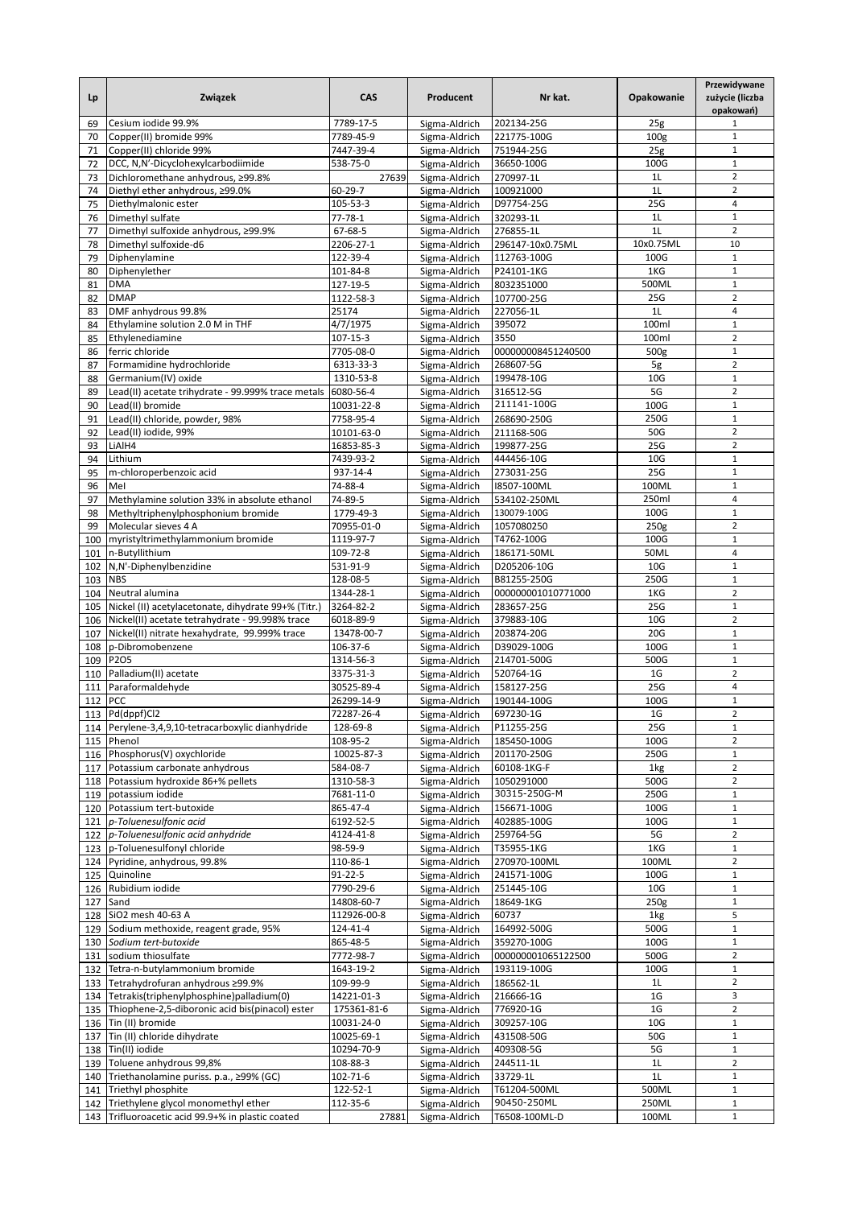| Lp         | Związek                                                    | CAS                  | Producent                      | Nr kat.                     | Opakowanie       | Przewidywane<br>zużycie (liczba<br>opakowań) |
|------------|------------------------------------------------------------|----------------------|--------------------------------|-----------------------------|------------------|----------------------------------------------|
| 69         | Cesium iodide 99.9%                                        | 7789-17-5            | Sigma-Aldrich                  | 202134-25G                  | 25g              | 1                                            |
| 70         | Copper(II) bromide 99%                                     | 7789-45-9            | Sigma-Aldrich                  | 221775-100G                 | 100 <sub>g</sub> | $1\,$                                        |
| 71         | Copper(II) chloride 99%                                    | 7447-39-4            | Sigma-Aldrich                  | 751944-25G                  | 25 <sub>g</sub>  | $\mathbf{1}$                                 |
| 72         | DCC, N,N'-Dicyclohexylcarbodiimide                         | 538-75-0             | Sigma-Aldrich                  | 36650-100G                  | 100G             | $\mathbf 1$                                  |
| 73         | Dichloromethane anhydrous, ≥99.8%                          | 27639                | Sigma-Aldrich                  | 270997-1L                   | 1L               | $\overline{2}$                               |
| 74         | Diethyl ether anhydrous, ≥99.0%                            | 60-29-7              | Sigma-Aldrich                  | 100921000                   | 1L               | $\overline{2}$                               |
| 75         | Diethylmalonic ester                                       | 105-53-3             | Sigma-Aldrich                  | D97754-25G                  | 25G              | $\overline{4}$                               |
| 76         | Dimethyl sulfate                                           | $77 - 78 - 1$        | Sigma-Aldrich                  | 320293-1L                   | 1L               | $\mathbf 1$                                  |
| 77         | Dimethyl sulfoxide anhydrous, ≥99.9%                       | 67-68-5              | Sigma-Aldrich                  | 276855-1L                   | 1L               | $\overline{2}$                               |
| 78         | Dimethyl sulfoxide-d6                                      | 2206-27-1            | Sigma-Aldrich                  | 296147-10x0.75ML            | 10x0.75ML        | 10                                           |
| 79         | Diphenylamine                                              | 122-39-4             | Sigma-Aldrich                  | 112763-100G                 | 100G             | $\mathbf{1}$                                 |
| 80         | Diphenylether                                              | 101-84-8             | Sigma-Aldrich                  | P24101-1KG                  | 1KG              | $\mathbf 1$                                  |
| 81         | <b>DMA</b>                                                 | 127-19-5             | Sigma-Aldrich                  | 8032351000                  | 500ML            | $\mathbf 1$                                  |
| 82         | <b>DMAP</b>                                                | 1122-58-3            | Sigma-Aldrich                  | 107700-25G                  | 25G              | $\overline{2}$                               |
| 83         | DMF anhydrous 99.8%                                        | 25174                | Sigma-Aldrich                  | 227056-1L                   | 1L               | $\sqrt{4}$                                   |
| 84         | Ethylamine solution 2.0 M in THF                           | 4/7/1975             | Sigma-Aldrich                  | 395072                      | 100ml            | $\mathbf 1$                                  |
| 85         | Ethylenediamine                                            | 107-15-3             | Sigma-Aldrich                  | 3550                        | 100ml            | $\overline{2}$                               |
| 86         | ferric chloride                                            | 7705-08-0            | Sigma-Aldrich                  | 000000008451240500          | 500g             | $\mathbf 1$                                  |
| 87         | Formamidine hydrochloride                                  | 6313-33-3            | Sigma-Aldrich                  | 268607-5G                   | 5g               | $\overline{2}$                               |
| 88         | Germanium(IV) oxide                                        | 1310-53-8            | Sigma-Aldrich                  | 199478-10G                  | 10 <sub>G</sub>  | $\mathbf 1$                                  |
| 89         | Lead(II) acetate trihydrate - 99.999% trace metals         | 6080-56-4            | Sigma-Aldrich                  | 316512-5G<br>211141-100G    | 5G               | $\overline{2}$                               |
| 90         | Lead(II) bromide                                           | 10031-22-8           | Sigma-Aldrich                  |                             | 100G             | $\mathbf 1$                                  |
| 91         | Lead(II) chloride, powder, 98%                             | 7758-95-4            | Sigma-Aldrich                  | 268690-250G                 | 250G             | $\mathbf 1$                                  |
| 92         | Lead(II) iodide, 99%                                       | 10101-63-0           | Sigma-Aldrich                  | 211168-50G                  | 50G              | $\overline{2}$                               |
| 93         | LiAlH4                                                     | 16853-85-3           | Sigma-Aldrich                  | 199877-25G                  | 25G              | $\overline{2}$                               |
| 94         | Lithium                                                    | 7439-93-2            | Sigma-Aldrich                  | 444456-10G                  | 10 <sub>G</sub>  | $\mathbf 1$                                  |
| 95         | m-chloroperbenzoic acid                                    | 937-14-4             | Sigma-Aldrich                  | 273031-25G                  | 25G              | $1\,$<br>$\mathbf{1}$                        |
| 96         | Mel                                                        | 74-88-4              | Sigma-Aldrich                  | I8507-100ML                 | 100ML            | $\overline{4}$                               |
| 97         | Methylamine solution 33% in absolute ethanol               | 74-89-5              | Sigma-Aldrich                  | 534102-250ML<br>130079-100G | 250ml<br>100G    | $\mathbf 1$                                  |
| 98         | Methyltriphenylphosphonium bromide<br>Molecular sieves 4 A | 1779-49-3            | Sigma-Aldrich                  |                             |                  | $\overline{2}$                               |
| 99         |                                                            | 70955-01-0           | Sigma-Aldrich                  | 1057080250<br>T4762-100G    | 250g<br>100G     | $1\,$                                        |
| 100        | myristyltrimethylammonium bromide                          | 1119-97-7            | Sigma-Aldrich                  |                             | 50ML             | $\overline{4}$                               |
| 101        | n-Butyllithium<br>N,N'-Diphenylbenzidine                   | 109-72-8<br>531-91-9 | Sigma-Aldrich                  | 186171-50ML<br>D205206-10G  | 10 <sub>G</sub>  | $\mathbf 1$                                  |
| 102        | <b>NBS</b>                                                 | 128-08-5             | Sigma-Aldrich                  | B81255-250G                 | 250G             | $\mathbf{1}$                                 |
| 103        | Neutral alumina                                            | 1344-28-1            | Sigma-Aldrich                  | 000000001010771000          | 1KG              | $\overline{2}$                               |
| 104        | Nickel (II) acetylacetonate, dihydrate 99+% (Titr.)        | 3264-82-2            | Sigma-Aldrich                  | 283657-25G                  | 25G              | $\mathbf 1$                                  |
| 105<br>106 | Nickel(II) acetate tetrahydrate - 99.998% trace            | 6018-89-9            | Sigma-Aldrich<br>Sigma-Aldrich | 379883-10G                  | 10 <sub>G</sub>  | $\overline{2}$                               |
| 107        | Nickel(II) nitrate hexahydrate, 99.999% trace              | 13478-00-7           | Sigma-Aldrich                  | 203874-20G                  | 20G              | $\mathbf 1$                                  |
| 108        | p-Dibromobenzene                                           | 106-37-6             | Sigma-Aldrich                  | D39029-100G                 | 100G             | $\mathbf 1$                                  |
| 109        | P2O5                                                       | 1314-56-3            | Sigma-Aldrich                  | 214701-500G                 | 500G             | $\mathbf 1$                                  |
| 110        | Palladium(II) acetate                                      | 3375-31-3            | Sigma-Aldrich                  | 520764-1G                   | 1G               | $\overline{2}$                               |
| 111        | Paraformaldehyde                                           | 30525-89-4           | Sigma-Aldrich                  | 158127-25G                  | 25G              | $\overline{4}$                               |
| 112        | PCC                                                        | 26299-14-9           | Sigma-Aldrich                  | 190144-100G                 | 100G             | $\mathbf{1}$                                 |
|            | 113 Pd(dppf)Cl2                                            | 72287-26-4           | Sigma-Aldrich                  | 697230-1G                   | 1 <sub>G</sub>   | $\overline{2}$                               |
| 114        | Perylene-3,4,9,10-tetracarboxylic dianhydride              | 128-69-8             | Sigma-Aldrich                  | P11255-25G                  | 25G              | 1                                            |
| 115        | Phenol                                                     | 108-95-2             | Sigma-Aldrich                  | 185450-100G                 | 100G             | $\overline{2}$                               |
|            | 116 Phosphorus(V) oxychloride                              | 10025-87-3           | Sigma-Aldrich                  | 201170-250G                 | 250G             | $\mathbf 1$                                  |
| 117        | Potassium carbonate anhydrous                              | 584-08-7             | Sigma-Aldrich                  | 60108-1KG-F                 | 1kg              | $\overline{2}$                               |
| 118        | Potassium hydroxide 86+% pellets                           | 1310-58-3            | Sigma-Aldrich                  | 1050291000                  | 500G             | $\overline{2}$                               |
|            | 119 potassium iodide                                       | 7681-11-0            | Sigma-Aldrich                  | 30315-250G-M                | 250G             | $\,1\,$                                      |
|            | 120 Potassium tert-butoxide                                | 865-47-4             | Sigma-Aldrich                  | 156671-100G                 | 100G             | $\mathbf{1}$                                 |
| 121        | p-Toluenesulfonic acid                                     | 6192-52-5            | Sigma-Aldrich                  | 402885-100G                 | 100G             | $\mathbf 1$                                  |
| 122        | p-Toluenesulfonic acid anhydride                           | 4124-41-8            | Sigma-Aldrich                  | 259764-5G                   | 5G               | $\overline{2}$                               |
| 123        | p-Toluenesulfonyl chloride                                 | 98-59-9              | Sigma-Aldrich                  | T35955-1KG                  | 1KG              | $\mathbf 1$                                  |
|            | 124 Pyridine, anhydrous, 99.8%                             | 110-86-1             | Sigma-Aldrich                  | 270970-100ML                | 100ML            | $\overline{2}$                               |
| 125        | Quinoline                                                  | $91 - 22 - 5$        | Sigma-Aldrich                  | 241571-100G                 | 100G             | $\mathbf 1$                                  |
| 126        | Rubidium iodide                                            | 7790-29-6            | Sigma-Aldrich                  | 251445-10G                  | 10 <sub>G</sub>  | $\mathbf 1$                                  |
| 127        | Sand                                                       | 14808-60-7           | Sigma-Aldrich                  | 18649-1KG                   | 250g             | $\,1\,$                                      |
| 128        | SiO2 mesh 40-63 A                                          | 112926-00-8          | Sigma-Aldrich                  | 60737                       | 1kg              | 5                                            |
| 129        | Sodium methoxide, reagent grade, 95%                       | 124-41-4             | Sigma-Aldrich                  | 164992-500G                 | 500G             | $\,1\,$                                      |
| 130        | Sodium tert-butoxide                                       | 865-48-5             | Sigma-Aldrich                  | 359270-100G                 | 100G             | $\,1\,$                                      |
| 131        | sodium thiosulfate                                         | 7772-98-7            | Sigma-Aldrich                  | 000000001065122500          | 500G             | $\overline{2}$                               |
| 132        | Tetra-n-butylammonium bromide                              | 1643-19-2            | Sigma-Aldrich                  | 193119-100G                 | 100G             | $\mathbf 1$                                  |
| 133        | Tetrahydrofuran anhydrous ≥99.9%                           | 109-99-9             | Sigma-Aldrich                  | 186562-1L                   | 1L               | $\overline{2}$                               |
| 134        | Tetrakis(triphenylphosphine)palladium(0)                   | 14221-01-3           | Sigma-Aldrich                  | 216666-1G                   | 1 <sub>G</sub>   | 3                                            |
| 135        | Thiophene-2,5-diboronic acid bis(pinacol) ester            | 175361-81-6          | Sigma-Aldrich                  | 776920-1G                   | 1G               | $\overline{2}$                               |
| 136        | Tin (II) bromide                                           | 10031-24-0           | Sigma-Aldrich                  | 309257-10G                  | 10 <sub>G</sub>  | $\mathbf 1$                                  |
| 137        | Tin (II) chloride dihydrate                                | 10025-69-1           | Sigma-Aldrich                  | 431508-50G                  | 50G              | $\mathbf 1$                                  |
| 138        | Tin(II) iodide                                             | 10294-70-9           | Sigma-Aldrich                  | 409308-5G                   | 5G               | 1                                            |
| 139        | Toluene anhydrous 99,8%                                    | 108-88-3             | Sigma-Aldrich                  | 244511-1L                   | 1L               | $\overline{2}$                               |
|            | 140 Triethanolamine puriss. p.a., ≥99% (GC)                | 102-71-6             | Sigma-Aldrich                  | 33729-1L                    | 1L               | $1\,$                                        |
| 141        | Triethyl phosphite                                         | 122-52-1             | Sigma-Aldrich                  | T61204-500ML                | 500ML            | $\mathbf 1$                                  |
| 142        | Triethylene glycol monomethyl ether                        | 112-35-6             | Sigma-Aldrich                  | 90450-250ML                 | 250ML            | $\mathbf 1$                                  |
| 143        | Trifluoroacetic acid 99.9+% in plastic coated              | 27881                | Sigma-Aldrich                  | T6508-100ML-D               | 100ML            | $\mathbf{1}$                                 |